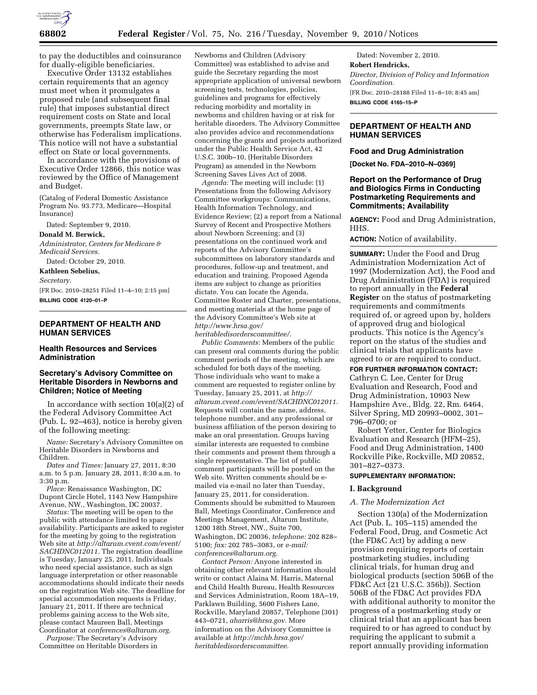

to pay the deductibles and coinsurance for dually-eligible beneficiaries.

Executive Order 13132 establishes certain requirements that an agency must meet when it promulgates a proposed rule (and subsequent final rule) that imposes substantial direct requirement costs on State and local governments, preempts State law, or otherwise has Federalism implications. This notice will not have a substantial effect on State or local governments.

In accordance with the provisions of Executive Order 12866, this notice was reviewed by the Office of Management and Budget.

(Catalog of Federal Domestic Assistance Program No. 93.773, Medicare—Hospital Insurance)

Dated: September 9, 2010.

#### **Donald M. Berwick,**

*Administrator, Centers for Medicare & Medicaid Services.* 

Dated: October 29, 2010.

**Kathleen Sebelius,** 

*Secretary.* 

[FR Doc. 2010–28251 Filed 11–4–10; 2:15 pm] **BILLING CODE 4120–01–P** 

## **DEPARTMENT OF HEALTH AND HUMAN SERVICES**

#### **Health Resources and Services Administration**

# **Secretary's Advisory Committee on Heritable Disorders in Newborns and Children; Notice of Meeting**

In accordance with section  $10(a)(2)$  of the Federal Advisory Committee Act (Pub. L. 92–463), notice is hereby given of the following meeting:

*Name:* Secretary's Advisory Committee on Heritable Disorders in Newborns and Children.

*Dates and Times:* January 27, 2011, 8:30 a.m. to 5 p.m. January 28, 2011, 8:30 a.m. to 3:30 p.m.

*Place:* Renaissance Washington, DC Dupont Circle Hotel, 1143 New Hampshire Avenue, NW., Washington, DC 20037.

*Status:* The meeting will be open to the public with attendance limited to space availability. Participants are asked to register for the meeting by going to the registration Web site at *[http://altarum.cvent.com/event/](http://altarum.cvent.com/event/SACHDNC012011)  [SACHDNC012011.](http://altarum.cvent.com/event/SACHDNC012011)* The registration deadline is Tuesday, January 25, 2011. Individuals who need special assistance, such as sign language interpretation or other reasonable accommodations should indicate their needs on the registration Web site. The deadline for special accommodation requests is Friday, January 21, 2011. If there are technical problems gaining access to the Web site, please contact Maureen Ball, Meetings Coordinator at *[conferences@altarum.org.](mailto:conferences@altarum.org)* 

*Purpose:* The Secretary's Advisory Committee on Heritable Disorders in

Newborns and Children (Advisory Committee) was established to advise and guide the Secretary regarding the most appropriate application of universal newborn screening tests, technologies, policies, guidelines and programs for effectively reducing morbidity and mortality in newborns and children having or at risk for heritable disorders. The Advisory Committee also provides advice and recommendations concerning the grants and projects authorized under the Public Health Service Act, 42 U.S.C. 300b–10, (Heritable Disorders Program) as amended in the Newborn Screening Saves Lives Act of 2008.

*Agenda:* The meeting will include: (1) Presentations from the following Advisory Committee workgroups: Communications, Health Information Technology, and Evidence Review; (2) a report from a National Survey of Recent and Prospective Mothers about Newborn Screening; and (3) presentations on the continued work and reports of the Advisory Committee's subcommittees on laboratory standards and procedures, follow-up and treatment, and education and training. Proposed Agenda items are subject to change as priorities dictate. You can locate the Agenda, Committee Roster and Charter, presentations, and meeting materials at the home page of the Advisory Committee's Web site at *[http://www.hrsa.gov/](http://www.hrsa.gov/heritabledisorderscommittee/)  [heritabledisorderscommittee/.](http://www.hrsa.gov/heritabledisorderscommittee/)* 

*Public Comments:* Members of the public can present oral comments during the public comment periods of the meeting, which are scheduled for both days of the meeting. Those individuals who want to make a comment are requested to register online by Tuesday, January 25, 2011, at *[http://](http://altarum.cvent.com/event/SACHDNC012011)  [altarum.cvent.com/event/SACHDNC012011.](http://altarum.cvent.com/event/SACHDNC012011)*  Requests will contain the name, address, telephone number, and any professional or business affiliation of the person desiring to make an oral presentation. Groups having similar interests are requested to combine their comments and present them through a single representative. The list of public comment participants will be posted on the Web site. Written comments should be emailed via e-mail no later than Tuesday, January 25, 2011, for consideration. Comments should be submitted to Maureen Ball, Meetings Coordinator, Conference and Meetings Management, Altarum Institute, 1200 18th Street, NW., Suite 700, Washington, DC 20036, *telephone:* 202 828– 5100; *fax:* 202 785–3083, or *e-mail: [conferences@altarum.org.](mailto:conferences@altarum.org)* 

*Contact Person:* Anyone interested in obtaining other relevant information should write or contact Alaina M. Harris, Maternal and Child Health Bureau, Health Resources and Services Administration, Room 18A–19, Parklawn Building, 5600 Fishers Lane, Rockville, Maryland 20857, Telephone (301) 443–0721, *[aharris@hrsa.gov.](mailto:aharris@hrsa.gov)* More information on the Advisory Committee is available at *[http://mchb.hrsa.gov/](http://mchb.hrsa.gov/heritabledisorderscommittee) [heritabledisorderscommittee.](http://mchb.hrsa.gov/heritabledisorderscommittee)* 

Dated: November 2, 2010. **Robert Hendricks,**  *Director, Division of Policy and Information Coordination.*  [FR Doc. 2010–28188 Filed 11–8–10; 8:45 am] **BILLING CODE 4165–15–P** 

# **DEPARTMENT OF HEALTH AND HUMAN SERVICES**

#### **Food and Drug Administration**

**[Docket No. FDA–2010–N–0369]** 

#### **Report on the Performance of Drug and Biologics Firms in Conducting Postmarketing Requirements and Commitments; Availability**

**AGENCY:** Food and Drug Administration, HHS.

**ACTION:** Notice of availability.

**SUMMARY:** Under the Food and Drug Administration Modernization Act of 1997 (Modernization Act), the Food and Drug Administration (FDA) is required to report annually in the **Federal Register** on the status of postmarketing requirements and commitments required of, or agreed upon by, holders of approved drug and biological products. This notice is the Agency's report on the status of the studies and clinical trials that applicants have agreed to or are required to conduct.

**FOR FURTHER INFORMATION CONTACT:** 

Cathryn C. Lee, Center for Drug Evaluation and Research, Food and Drug Administration, 10903 New Hampshire Ave., Bldg. 22, Rm. 6464, Silver Spring, MD 20993–0002, 301– 796–0700; or

Robert Yetter, Center for Biologics Evaluation and Research (HFM–25), Food and Drug Administration, 1400 Rockville Pike, Rockville, MD 20852, 301–827–0373.

#### **SUPPLEMENTARY INFORMATION:**

#### **I. Background**

#### *A. The Modernization Act*

Section 130(a) of the Modernization Act (Pub. L. 105–115) amended the Federal Food, Drug, and Cosmetic Act (the FD&C Act) by adding a new provision requiring reports of certain postmarketing studies, including clinical trials, for human drug and biological products (section 506B of the FD&C Act (21 U.S.C. 356b)). Section 506B of the FD&C Act provides FDA with additional authority to monitor the progress of a postmarketing study or clinical trial that an applicant has been required to or has agreed to conduct by requiring the applicant to submit a report annually providing information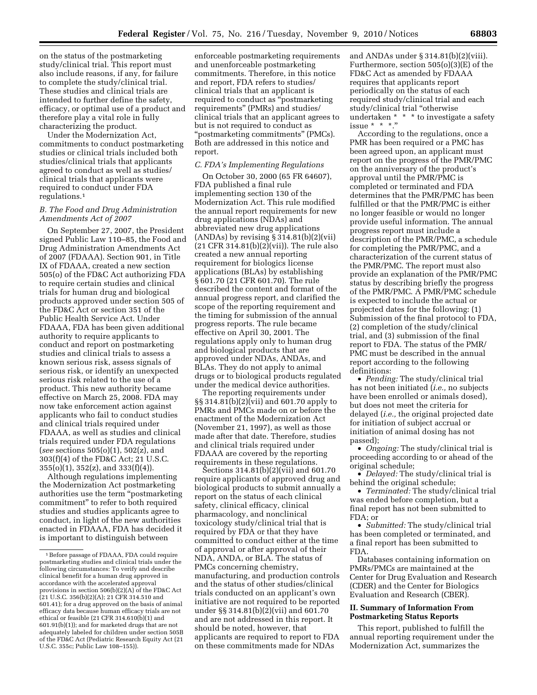on the status of the postmarketing study/clinical trial. This report must also include reasons, if any, for failure to complete the study/clinical trial. These studies and clinical trials are intended to further define the safety, efficacy, or optimal use of a product and therefore play a vital role in fully characterizing the product.

Under the Modernization Act, commitments to conduct postmarketing studies or clinical trials included both studies/clinical trials that applicants agreed to conduct as well as studies/ clinical trials that applicants were required to conduct under FDA regulations.1

#### *B. The Food and Drug Administration Amendments Act of 2007*

On September 27, 2007, the President signed Public Law 110–85, the Food and Drug Administration Amendments Act of 2007 (FDAAA). Section 901, in Title IX of FDAAA, created a new section 505(o) of the FD&C Act authorizing FDA to require certain studies and clinical trials for human drug and biological products approved under section 505 of the FD&C Act or section 351 of the Public Health Service Act. Under FDAAA, FDA has been given additional authority to require applicants to conduct and report on postmarketing studies and clinical trials to assess a known serious risk, assess signals of serious risk, or identify an unexpected serious risk related to the use of a product. This new authority became effective on March 25, 2008. FDA may now take enforcement action against applicants who fail to conduct studies and clinical trials required under FDAAA, as well as studies and clinical trials required under FDA regulations (*see* sections 505(o)(1), 502(z), and 303(f)(4) of the FD&C Act; 21 U.S.C. 355(o)(1), 352(z), and 333(f)(4)).

Although regulations implementing the Modernization Act postmarketing authorities use the term ''postmarketing commitment'' to refer to both required studies and studies applicants agree to conduct, in light of the new authorities enacted in FDAAA, FDA has decided it is important to distinguish between

enforceable postmarketing requirements and unenforceable postmarketing commitments. Therefore, in this notice and report, FDA refers to studies/ clinical trials that an applicant is required to conduct as ''postmarketing requirements'' (PMRs) and studies/ clinical trials that an applicant agrees to but is not required to conduct as ''postmarketing commitments'' (PMCs). Both are addressed in this notice and report.

## *C. FDA's Implementing Regulations*

On October 30, 2000 (65 FR 64607), FDA published a final rule implementing section 130 of the Modernization Act. This rule modified the annual report requirements for new drug applications (NDAs) and abbreviated new drug applications (ANDAs) by revising  $\S 314.81(b)(2)(vii)$ (21 CFR 314.81(b)(2)(vii)). The rule also created a new annual reporting requirement for biologics license applications (BLAs) by establishing § 601.70 (21 CFR 601.70). The rule described the content and format of the annual progress report, and clarified the scope of the reporting requirement and the timing for submission of the annual progress reports. The rule became effective on April 30, 2001. The regulations apply only to human drug and biological products that are approved under NDAs, ANDAs, and BLAs. They do not apply to animal drugs or to biological products regulated under the medical device authorities.

The reporting requirements under §§ 314.81(b)(2)(vii) and 601.70 apply to PMRs and PMCs made on or before the enactment of the Modernization Act (November 21, 1997), as well as those made after that date. Therefore, studies and clinical trials required under FDAAA are covered by the reporting requirements in these regulations.

Sections  $314.81(b)(2)(\text{vii})$  and  $601.70$ require applicants of approved drug and biological products to submit annually a report on the status of each clinical safety, clinical efficacy, clinical pharmacology, and nonclinical toxicology study/clinical trial that is required by FDA or that they have committed to conduct either at the time of approval or after approval of their NDA, ANDA, or BLA. The status of PMCs concerning chemistry, manufacturing, and production controls and the status of other studies/clinical trials conducted on an applicant's own initiative are not required to be reported under §§ 314.81(b)(2)(vii) and 601.70 and are not addressed in this report. It should be noted, however, that applicants are required to report to FDA on these commitments made for NDAs

and ANDAs under § 314.81(b)(2)(viii). Furthermore, section 505(o)(3)(E) of the FD&C Act as amended by FDAAA requires that applicants report periodically on the status of each required study/clinical trial and each study/clinical trial "otherwise" undertaken \* \* \* to investigate a safety issue \* \* \*.''

According to the regulations, once a PMR has been required or a PMC has been agreed upon, an applicant must report on the progress of the PMR/PMC on the anniversary of the product's approval until the PMR/PMC is completed or terminated and FDA determines that the PMR/PMC has been fulfilled or that the PMR/PMC is either no longer feasible or would no longer provide useful information. The annual progress report must include a description of the PMR/PMC, a schedule for completing the PMR/PMC, and a characterization of the current status of the PMR/PMC. The report must also provide an explanation of the PMR/PMC status by describing briefly the progress of the PMR/PMC. A PMR/PMC schedule is expected to include the actual or projected dates for the following: (1) Submission of the final protocol to FDA, (2) completion of the study/clinical trial, and (3) submission of the final report to FDA. The status of the PMR/ PMC must be described in the annual report according to the following definitions:

• *Pending:* The study/clinical trial has not been initiated (*i.e.,* no subjects have been enrolled or animals dosed), but does not meet the criteria for delayed (*i.e.,* the original projected date for initiation of subject accrual or initiation of animal dosing has not passed);

• *Ongoing:* The study/clinical trial is proceeding according to or ahead of the original schedule;

• *Delayed:* The study/clinical trial is behind the original schedule;

• *Terminated:* The study/clinical trial was ended before completion, but a final report has not been submitted to FDA; or

• *Submitted:* The study/clinical trial has been completed or terminated, and a final report has been submitted to FDA.

Databases containing information on PMRs/PMCs are maintained at the Center for Drug Evaluation and Research (CDER) and the Center for Biologics Evaluation and Research (CBER).

#### **II. Summary of Information From Postmarketing Status Reports**

This report, published to fulfill the annual reporting requirement under the Modernization Act, summarizes the

<sup>1</sup>Before passage of FDAAA, FDA could require postmarketing studies and clinical trials under the following circumstances: To verify and describe clinical benefit for a human drug approved in accordance with the accelerated approval provisions in section 506(b)(2)(A) of the FD&C Act (21 U.S.C. 356(b)(2)(A); 21 CFR 314.510 and 601.41); for a drug approved on the basis of animal efficacy data because human efficacy trials are not ethical or feasible (21 CFR 314.610(b)(1) and 601.91(b)(1)); and for marketed drugs that are not adequately labeled for children under section 505B of the FD&C Act (Pediatric Research Equity Act (21 U.S.C. 355c; Public Law 108–155)).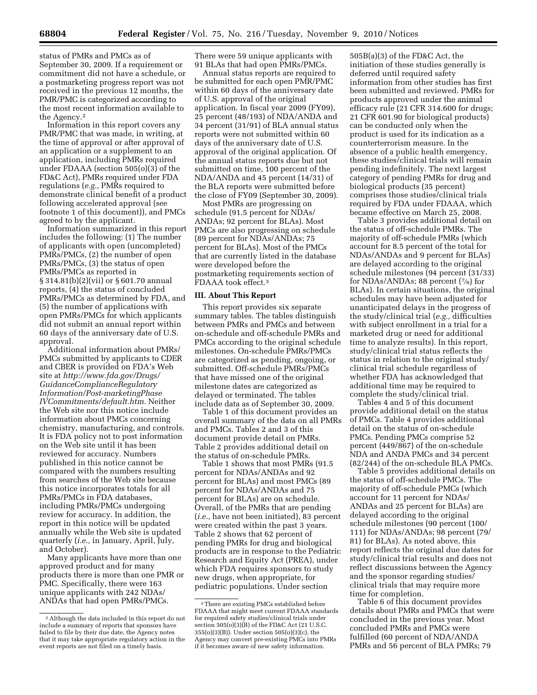status of PMRs and PMCs as of September 30, 2009. If a requirement or commitment did not have a schedule, or a postmarketing progress report was not received in the previous 12 months, the PMR/PMC is categorized according to the most recent information available to the Agency.2

Information in this report covers any PMR/PMC that was made, in writing, at the time of approval or after approval of an application or a supplement to an application, including PMRs required under FDAAA (section 505(o)(3) of the FD&C Act), PMRs required under FDA regulations (*e.g.,* PMRs required to demonstrate clinical benefit of a product following accelerated approval (see footnote 1 of this document)), and PMCs agreed to by the applicant.

Information summarized in this report includes the following: (1) The number of applicants with open (uncompleted) PMRs/PMCs, (2) the number of open PMRs/PMCs, (3) the status of open PMRs/PMCs as reported in § 314.81(b)(2)(vii) or § 601.70 annual reports, (4) the status of concluded PMRs/PMCs as determined by FDA, and (5) the number of applications with open PMRs/PMCs for which applicants did not submit an annual report within 60 days of the anniversary date of U.S. approval.

Additional information about PMRs/ PMCs submitted by applicants to CDER and CBER is provided on FDA's Web site at *[http://www.fda.gov/Drugs/](http://www.fda.gov/Drugs/GuidanceComplianceRegulatoryInformation/Post-marketingPhaseIVCommitments/default.htm) [GuidanceComplianceRegulatory](http://www.fda.gov/Drugs/GuidanceComplianceRegulatoryInformation/Post-marketingPhaseIVCommitments/default.htm) [Information/Post-marketingPhase](http://www.fda.gov/Drugs/GuidanceComplianceRegulatoryInformation/Post-marketingPhaseIVCommitments/default.htm) [IVCommitments/default.htm.](http://www.fda.gov/Drugs/GuidanceComplianceRegulatoryInformation/Post-marketingPhaseIVCommitments/default.htm)* Neither the Web site nor this notice include information about PMCs concerning chemistry, manufacturing, and controls. It is FDA policy not to post information on the Web site until it has been reviewed for accuracy. Numbers published in this notice cannot be compared with the numbers resulting from searches of the Web site because this notice incorporates totals for all PMRs/PMCs in FDA databases, including PMRs/PMCs undergoing review for accuracy. In addition, the report in this notice will be updated annually while the Web site is updated quarterly (*i.e.,* in January, April, July, and October).

Many applicants have more than one approved product and for many products there is more than one PMR or PMC. Specifically, there were 163 unique applicants with 242 NDAs/ ANDAs that had open PMRs/PMCs.

There were 59 unique applicants with 91 BLAs that had open PMRs/PMCs.

Annual status reports are required to be submitted for each open PMR/PMC within 60 days of the anniversary date of U.S. approval of the original application. In fiscal year 2009 (FY09), 25 percent (48/193) of NDA/ANDA and 34 percent (31/91) of BLA annual status reports were not submitted within 60 days of the anniversary date of U.S. approval of the original application. Of the annual status reports due but not submitted on time, 100 percent of the NDA/ANDA and 45 percent (14/31) of the BLA reports were submitted before the close of FY09 (September 30, 2009).

Most PMRs are progressing on schedule (91.5 percent for NDAs/ ANDAs; 92 percent for BLAs). Most PMCs are also progressing on schedule (89 percent for NDAs/ANDAs; 75 percent for BLAs). Most of the PMCs that are currently listed in the database were developed before the postmarketing requirements section of FDAAA took effect.3

#### **III. About This Report**

This report provides six separate summary tables. The tables distinguish between PMRs and PMCs and between on-schedule and off-schedule PMRs and PMCs according to the original schedule milestones. On-schedule PMRs/PMCs are categorized as pending, ongoing, or submitted. Off-schedule PMRs/PMCs that have missed one of the original milestone dates are categorized as delayed or terminated. The tables include data as of September 30, 2009.

Table 1 of this document provides an overall summary of the data on all PMRs and PMCs. Tables 2 and 3 of this document provide detail on PMRs. Table 2 provides additional detail on the status of on-schedule PMRs.

Table 1 shows that most PMRs (91.5 percent for NDAs/ANDAs and 92 percent for BLAs) and most PMCs (89 percent for NDAs/ANDAs and 75 percent for BLAs) are on schedule. Overall, of the PMRs that are pending (*i.e.,* have not been initiated), 83 percent were created within the past 3 years. Table 2 shows that 62 percent of pending PMRs for drug and biological products are in response to the Pediatric Research and Equity Act (PREA), under which FDA requires sponsors to study new drugs, when appropriate, for pediatric populations. Under section

505B(a)(3) of the FD&C Act, the initiation of these studies generally is deferred until required safety information from other studies has first been submitted and reviewed. PMRs for products approved under the animal efficacy rule (21 CFR 314.600 for drugs; 21 CFR 601.90 for biological products) can be conducted only when the product is used for its indication as a counterterrorism measure. In the absence of a public health emergency, these studies/clinical trials will remain pending indefinitely. The next largest category of pending PMRs for drug and biological products (35 percent) comprises those studies/clinical trials required by FDA under FDAAA, which became effective on March 25, 2008.

Table 3 provides additional detail on the status of off-schedule PMRs. The majority of off-schedule PMRs (which account for 8.5 percent of the total for NDAs/ANDAs and 9 percent for BLAs) are delayed according to the original schedule milestones (94 percent (31/33) for NDAs/ANDAs; 88 percent (7⁄8) for BLAs). In certain situations, the original schedules may have been adjusted for unanticipated delays in the progress of the study/clinical trial (*e.g.,* difficulties with subject enrollment in a trial for a marketed drug or need for additional time to analyze results). In this report, study/clinical trial status reflects the status in relation to the original study/ clinical trial schedule regardless of whether FDA has acknowledged that additional time may be required to complete the study/clinical trial.

Tables 4 and 5 of this document provide additional detail on the status of PMCs. Table 4 provides additional detail on the status of on-schedule PMCs. Pending PMCs comprise 52 percent (449/867) of the on-schedule NDA and ANDA PMCs and 34 percent (82/244) of the on-schedule BLA PMCs.

Table 5 provides additional details on the status of off-schedule PMCs. The majority of off-schedule PMCs (which account for 11 percent for NDAs/ ANDAs and 25 percent for BLAs) are delayed according to the original schedule milestones (90 percent (100/ 111) for NDAs/ANDAs; 98 percent (79/ 81) for BLAs). As noted above, this report reflects the original due dates for study/clinical trial results and does not reflect discussions between the Agency and the sponsor regarding studies/ clinical trials that may require more time for completion.

Table 6 of this document provides details about PMRs and PMCs that were concluded in the previous year. Most concluded PMRs and PMCs were fulfilled (60 percent of NDA/ANDA PMRs and 56 percent of BLA PMRs; 79

<sup>2</sup>Although the data included in this report do not include a summary of reports that sponsors have failed to file by their due date, the Agency notes that it may take appropriate regulatory action in the event reports are not filed on a timely basis.

<sup>3</sup>There are existing PMCs established before FDAAA that might meet current FDAAA standards for required safety studies/clinical trials under section 505(o)(3)(B) of the FD&C Act (21 U.S.C. 355(o)(3)(B)). Under section 505(o)(3)(c), the Agency may convert pre-existing PMCs into PMRs if it becomes aware of new safety information.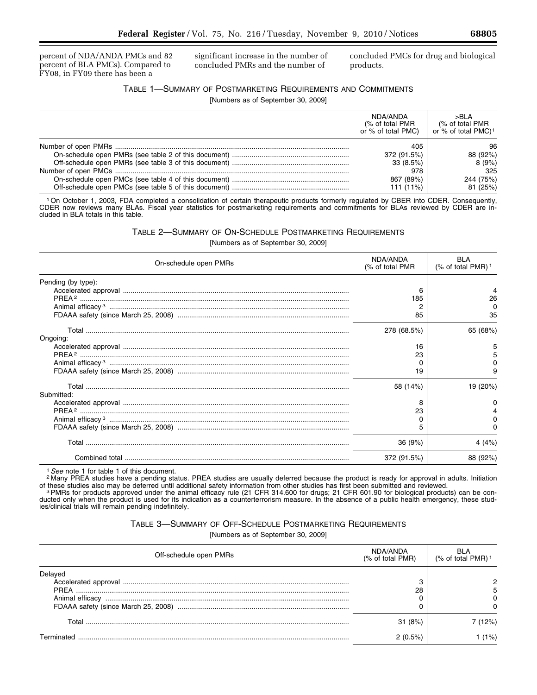percent of NDA/ANDA PMCs and 82 percent of BLA PMCs). Compared to FY08, in FY09 there has been a

significant increase in the number of concluded PMRs and the number of

concluded PMCs for drug and biological products.

# TABLE 1—SUMMARY OF POSTMARKETING REQUIREMENTS AND COMMITMENTS

[Numbers as of September 30, 2009]

| NDA/ANDA<br>(% of total PMR<br>or % of total PMC) | >BLA<br>(% of total PMR<br>or % of total PMC) <sup>1</sup> |
|---------------------------------------------------|------------------------------------------------------------|
| 405                                               | 96                                                         |
| 372 (91.5%)                                       | 88 (92%)                                                   |
| 33 (8.5%)                                         | 8(9%)                                                      |
| 978                                               | 325                                                        |
| 867 (89%)                                         | 244 (75%)                                                  |
| 111 (11%)                                         | 81 (25%)                                                   |

1On October 1, 2003, FDA completed a consolidation of certain therapeutic products formerly regulated by CBER into CDER. Consequently, CDER now reviews many BLAs. Fiscal year statistics for postmarketing requirements and commitments for BLAs reviewed by CDER are included in BLA totals in this table.

TABLE 2—SUMMARY OF ON-SCHEDULE POSTMARKETING REQUIREMENTS

| On-schedule open PMRs | NDA/ANDA<br>(% of total PMR | <b>BLA</b><br>(% of total PMR) <sup>1</sup> |
|-----------------------|-----------------------------|---------------------------------------------|
| Pending (by type):    | 6<br>185<br>85              | 26<br>$\Omega$<br>35                        |
|                       | 278 (68.5%)                 | 65 (68%)                                    |
| Ongoing:              | 16<br>23<br>0<br>19         |                                             |
| Submitted:            | 58 (14%)<br>8<br>23<br>0    | 19 (20%)<br><sup>o</sup>                    |
|                       | 36(9%)                      | 4(4%)                                       |
|                       | 372 (91.5%)                 | 88 (92%)                                    |

[Numbers as of September 30, 2009]

<sup>1</sup> See note 1 for table 1 of this document.<br><sup>2</sup> Many PREA studies have a pending status. PREA studies are usually deferred because the product is ready for approval in adults. Initiation<br>of these studies also may be defer

<sup>3</sup> PMRs for products approved under the animal efficacy rule (21 CFR 314.600 for drugs; 21 CFR 601.90 for biological products) can be conducted only when the product is used for its indication as a counterterrorism measure. In the absence of a public health emergency, these studies/clinical trials will remain pending indefinitely.

TABLE 3—SUMMARY OF OFF-SCHEDULE POSTMARKETING REQUIREMENTS

[Numbers as of September 30, 2009]

| Off-schedule open PMRs | NDA/ANDA<br>(% of total PMR) | $(%$ of total PMR) <sup>1</sup> |
|------------------------|------------------------------|---------------------------------|
| Delayed                | 3<br>28                      |                                 |
| Total                  | 31(8%)                       | 2%)                             |
| Terminateo             | 2(0.5%)                      | $1\%$                           |